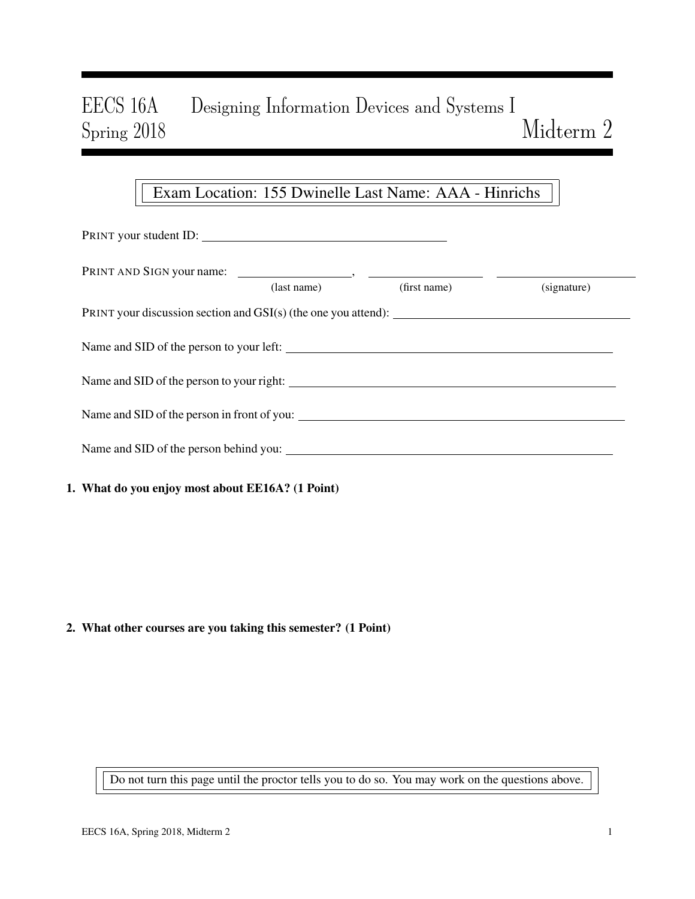# EECS 16A Designing Information Devices and Systems I Spring 2018 Midterm 2

# Exam Location: 155 Dwinelle Last Name: AAA - Hinrichs

| PRINT your student ID:                                                                                                                                                  |             |              |             |  |  |  |  |  |
|-------------------------------------------------------------------------------------------------------------------------------------------------------------------------|-------------|--------------|-------------|--|--|--|--|--|
|                                                                                                                                                                         |             |              |             |  |  |  |  |  |
|                                                                                                                                                                         | (last name) | (first name) | (signature) |  |  |  |  |  |
|                                                                                                                                                                         |             |              |             |  |  |  |  |  |
| Name and SID of the person to your left:                                                                                                                                |             |              |             |  |  |  |  |  |
|                                                                                                                                                                         |             |              |             |  |  |  |  |  |
|                                                                                                                                                                         |             |              |             |  |  |  |  |  |
|                                                                                                                                                                         |             |              |             |  |  |  |  |  |
| $\mathbf{W}$ of $\mathbf{L}$ and $\mathbf{L}$ is the set of $\mathbf{H}$ is set $\mathbf{W}$ if $\mathbf{H}$ if $\mathbf{H}$ is $\mathbf{H}$ is the set of $\mathbf{H}$ |             |              |             |  |  |  |  |  |

# 1. What do you enjoy most about EE16A? (1 Point)

# 2. What other courses are you taking this semester? (1 Point)

Do not turn this page until the proctor tells you to do so. You may work on the questions above.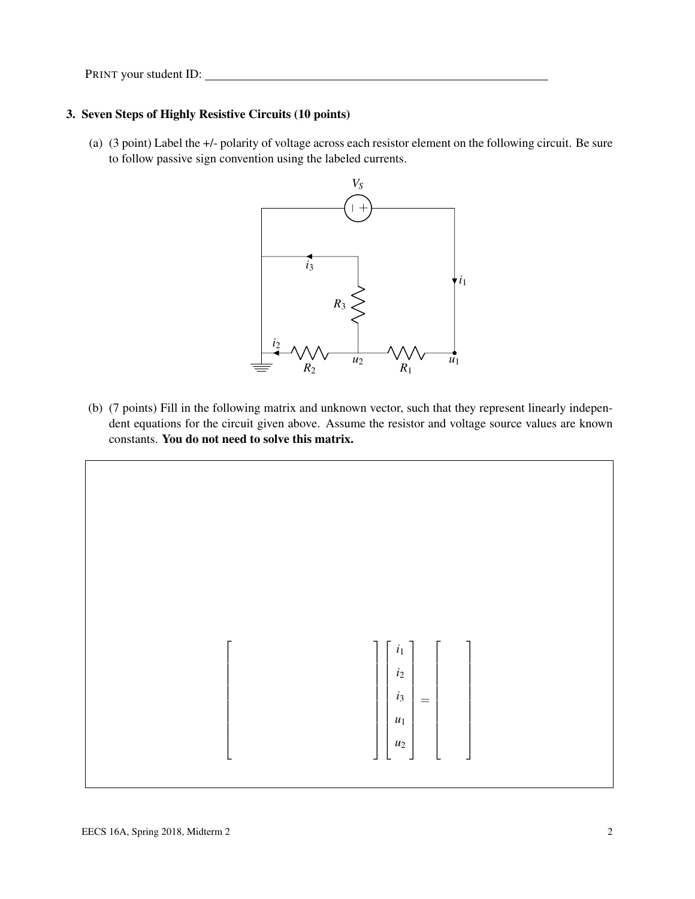### 3. Seven Steps of Highly Resistive Circuits (10 points)

(a) (3 point) Label the +/- polarity of voltage across each resistor element on the following circuit. Be sure to follow passive sign convention using the labeled currents.



(b) (7 points) Fill in the following matrix and unknown vector, such that they represent linearly independent equations for the circuit given above. Assume the resistor and voltage source values are known constants. You do not need to solve this matrix.

$$
\begin{bmatrix}\n\begin{bmatrix}\n\begin{bmatrix}\n i_1 \\
i_2 \\
i_3 \\
u_1 \\
u_2\n\end{bmatrix}\n\end{bmatrix} = \begin{bmatrix}\n\begin{bmatrix}\n\begin{bmatrix}\n\begin{bmatrix}\n i_1 \\
i_2 \\
u_3 \\
u_2\n\end{bmatrix}\n\end{bmatrix}\n\end{bmatrix}
$$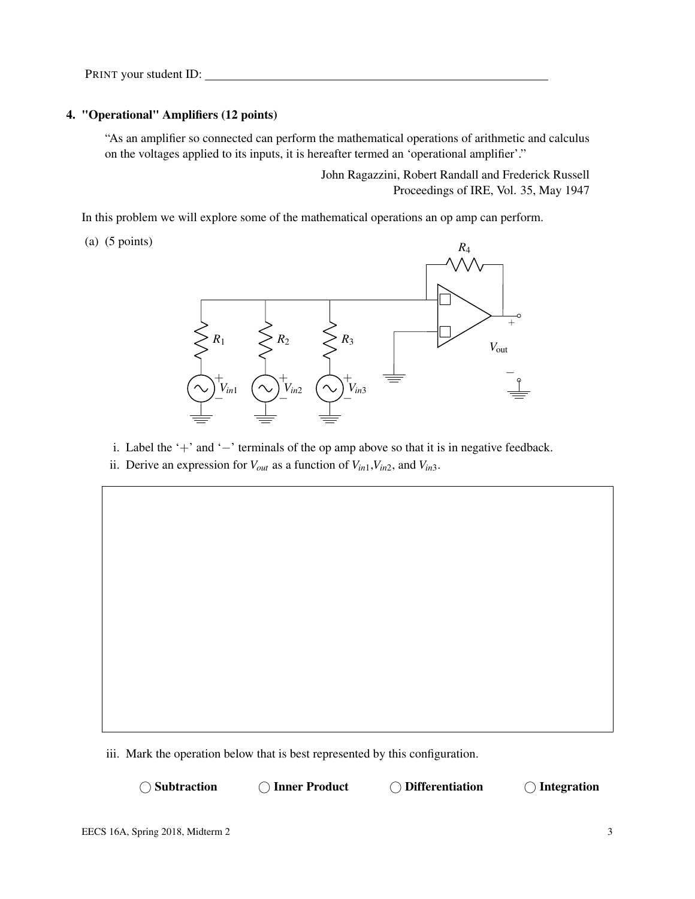#### 4. "Operational" Amplifiers (12 points)

"As an amplifier so connected can perform the mathematical operations of arithmetic and calculus on the voltages applied to its inputs, it is hereafter termed an 'operational amplifier'."

> John Ragazzini, Robert Randall and Frederick Russell Proceedings of IRE, Vol. 35, May 1947

In this problem we will explore some of the mathematical operations an op amp can perform.

(a) (5 points)



i. Label the '+' and '−' terminals of the op amp above so that it is in negative feedback.

ii. Derive an expression for  $V_{out}$  as a function of  $V_{in1}$ ,  $V_{in2}$ , and  $V_{in3}$ .

iii. Mark the operation below that is best represented by this configuration.

(a) Subtraction (b) Inner Product (b) Differentiation (c) Integration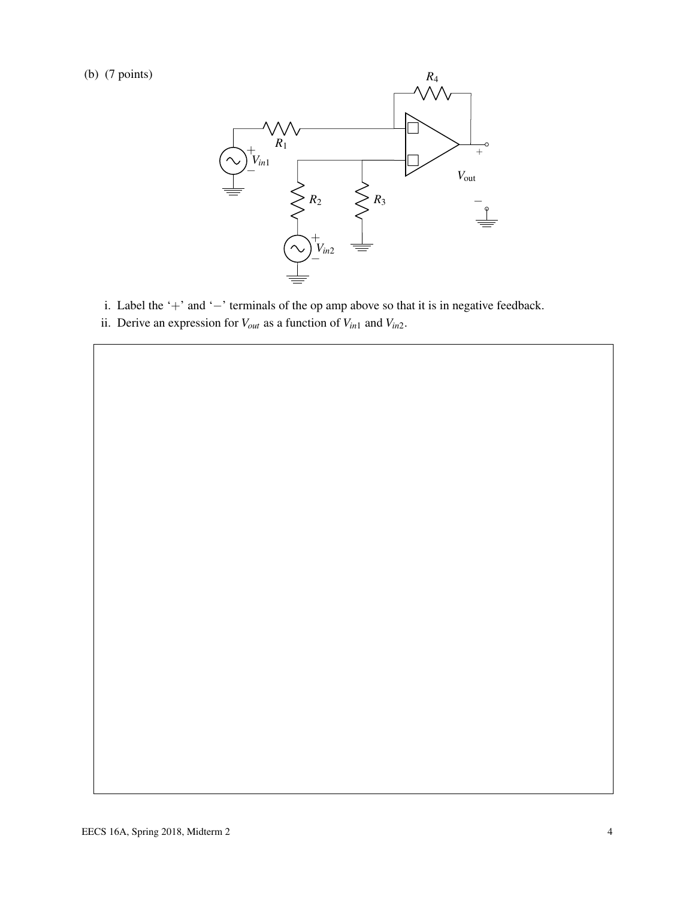(b) (7 points)



- i. Label the '+' and '−' terminals of the op amp above so that it is in negative feedback.
- ii. Derive an expression for  $V_{out}$  as a function of  $V_{in1}$  and  $V_{in2}$ .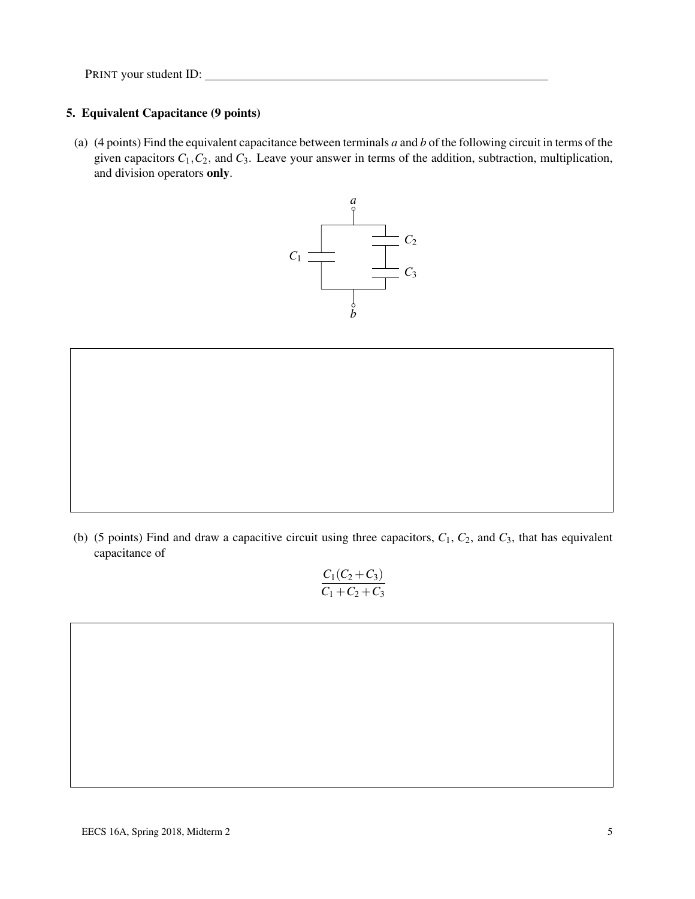### 5. Equivalent Capacitance (9 points)

(a) (4 points) Find the equivalent capacitance between terminals *a* and *b* of the following circuit in terms of the given capacitors  $C_1$ ,  $C_2$ , and  $C_3$ . Leave your answer in terms of the addition, subtraction, multiplication, and division operators only.



(b) (5 points) Find and draw a capacitive circuit using three capacitors,  $C_1$ ,  $C_2$ , and  $C_3$ , that has equivalent capacitance of

$$
\frac{C_1(C_2 + C_3)}{C_1 + C_2 + C_3}
$$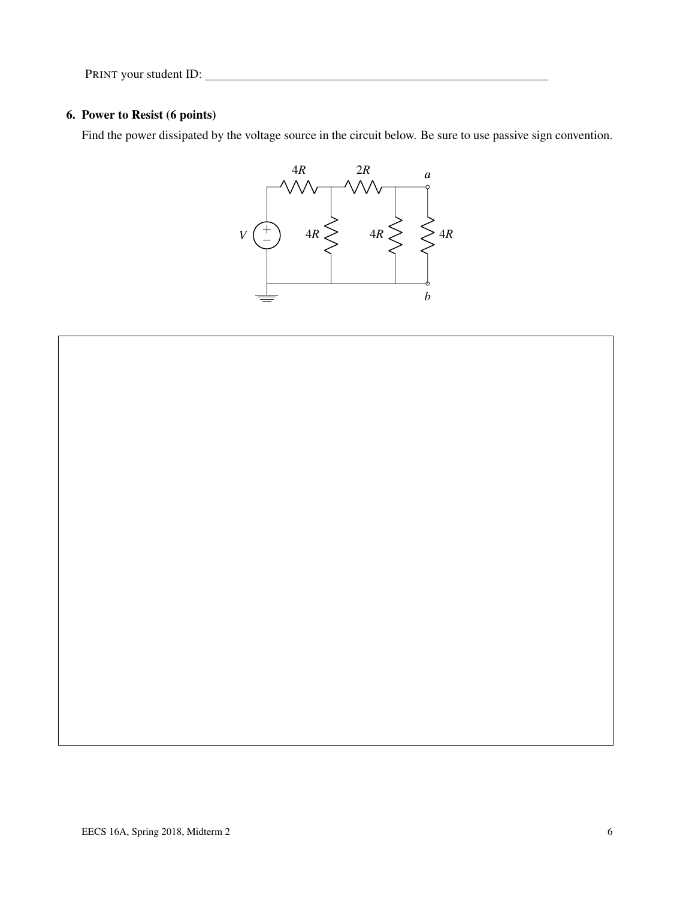# 6. Power to Resist (6 points)

Find the power dissipated by the voltage source in the circuit below. Be sure to use passive sign convention.



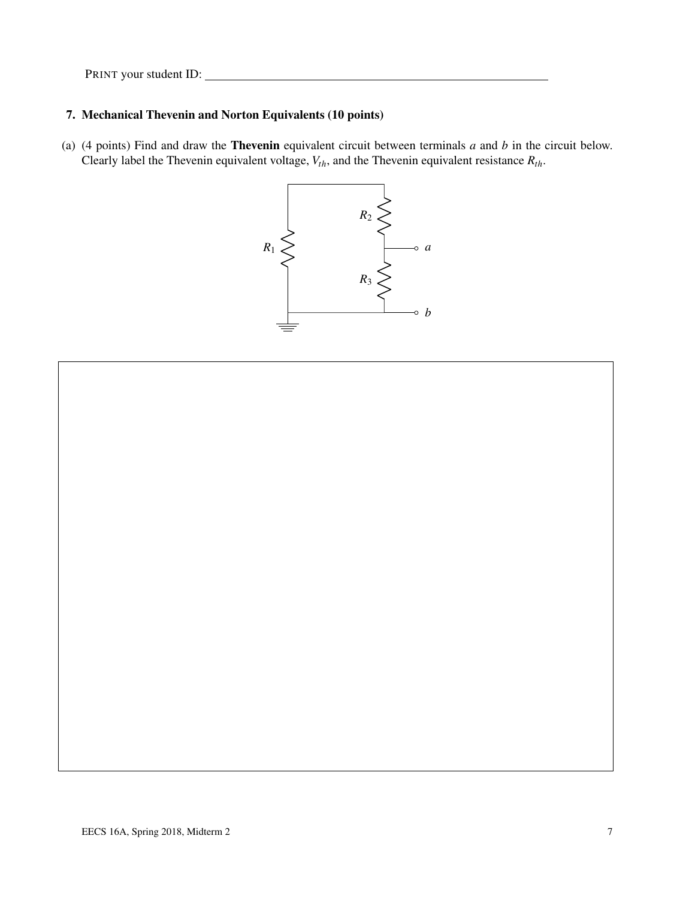# 7. Mechanical Thevenin and Norton Equivalents (10 points)

(a) (4 points) Find and draw the Thevenin equivalent circuit between terminals *a* and *b* in the circuit below. Clearly label the Thevenin equivalent voltage, *Vth*, and the Thevenin equivalent resistance *Rth*.

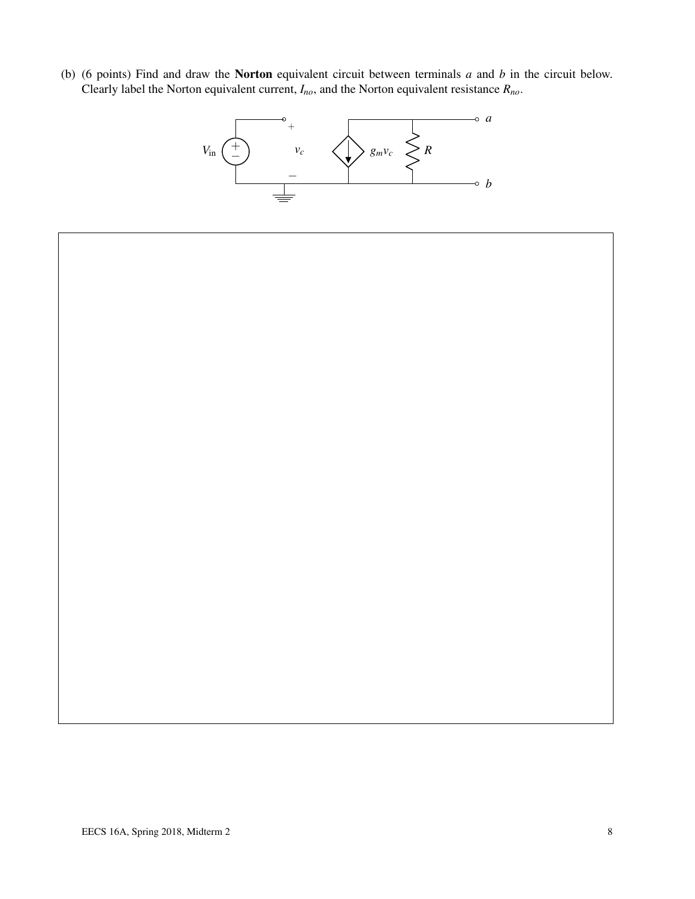(b) (6 points) Find and draw the Norton equivalent circuit between terminals *a* and *b* in the circuit below. Clearly label the Norton equivalent current, *Ino*, and the Norton equivalent resistance *Rno*.



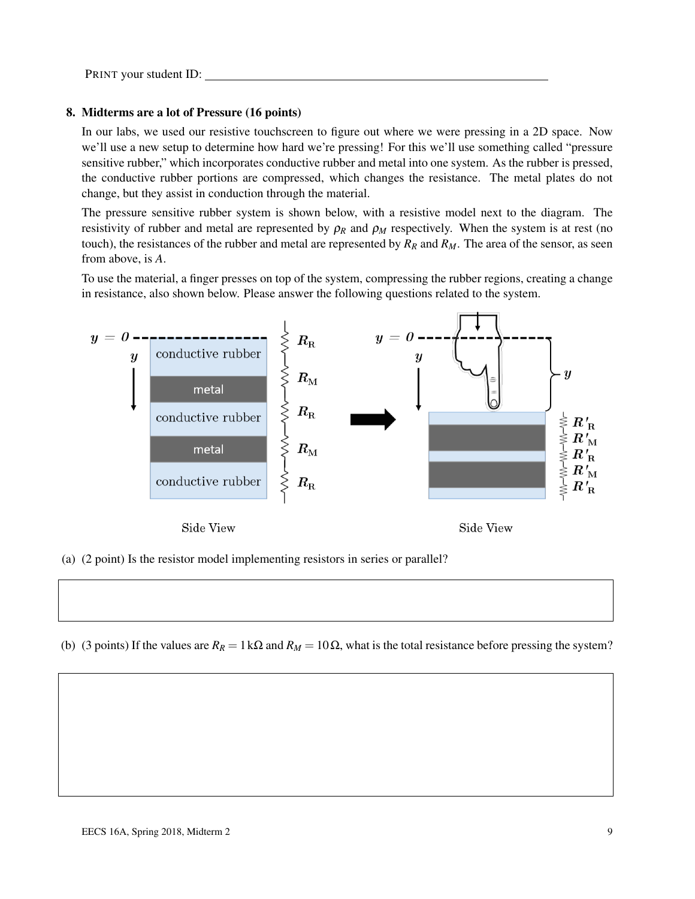#### 8. Midterms are a lot of Pressure (16 points)

In our labs, we used our resistive touchscreen to figure out where we were pressing in a 2D space. Now we'll use a new setup to determine how hard we're pressing! For this we'll use something called "pressure sensitive rubber," which incorporates conductive rubber and metal into one system. As the rubber is pressed, the conductive rubber portions are compressed, which changes the resistance. The metal plates do not change, but they assist in conduction through the material.

The pressure sensitive rubber system is shown below, with a resistive model next to the diagram. The resistivity of rubber and metal are represented by  $\rho_R$  and  $\rho_M$  respectively. When the system is at rest (no touch), the resistances of the rubber and metal are represented by  $R_R$  and  $R_M$ . The area of the sensor, as seen from above, is *A*.

To use the material, a finger presses on top of the system, compressing the rubber regions, creating a change in resistance, also shown below. Please answer the following questions related to the system.



(a) (2 point) Is the resistor model implementing resistors in series or parallel?

(b) (3 points) If the values are  $R_R = 1 \text{ k}\Omega$  and  $R_M = 10 \Omega$ , what is the total resistance before pressing the system?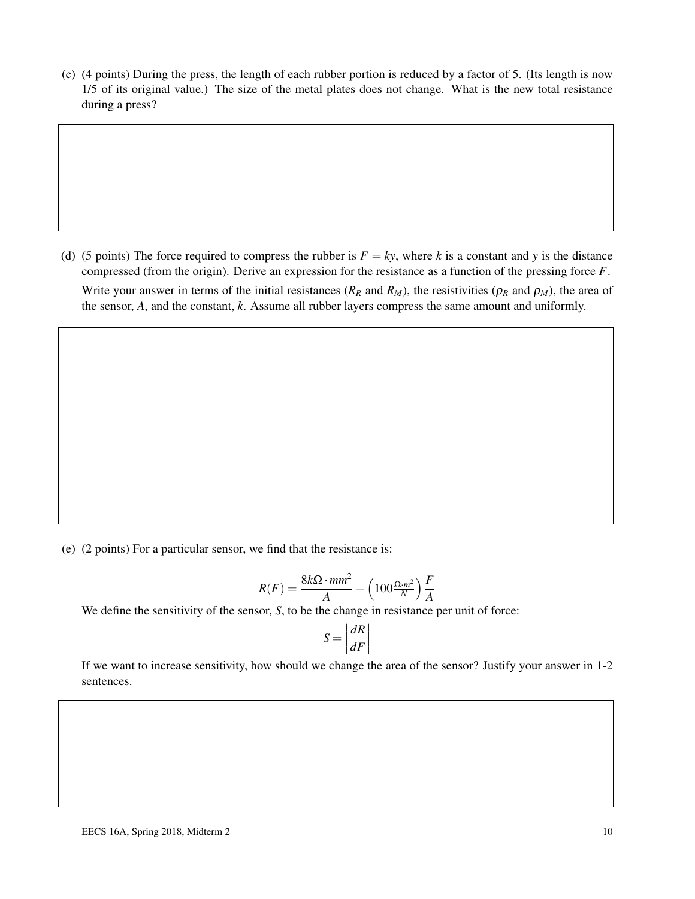(c) (4 points) During the press, the length of each rubber portion is reduced by a factor of 5. (Its length is now 1/5 of its original value.) The size of the metal plates does not change. What is the new total resistance during a press?

(d) (5 points) The force required to compress the rubber is  $F = ky$ , where *k* is a constant and *y* is the distance compressed (from the origin). Derive an expression for the resistance as a function of the pressing force *F*. Write your answer in terms of the initial resistances ( $R_R$  and  $R_M$ ), the resistivities ( $\rho_R$  and  $\rho_M$ ), the area of the sensor, *A*, and the constant, *k*. Assume all rubber layers compress the same amount and uniformly.

(e) (2 points) For a particular sensor, we find that the resistance is:

$$
R(F) = \frac{8k\Omega \cdot mm^2}{A} - \left(100\frac{\Omega \cdot m^2}{N}\right)\frac{F}{A}
$$

We define the sensitivity of the sensor, *S*, to be the change in resistance per unit of force:

$$
S = \left| \frac{dR}{dF} \right|
$$

If we want to increase sensitivity, how should we change the area of the sensor? Justify your answer in 1-2 sentences.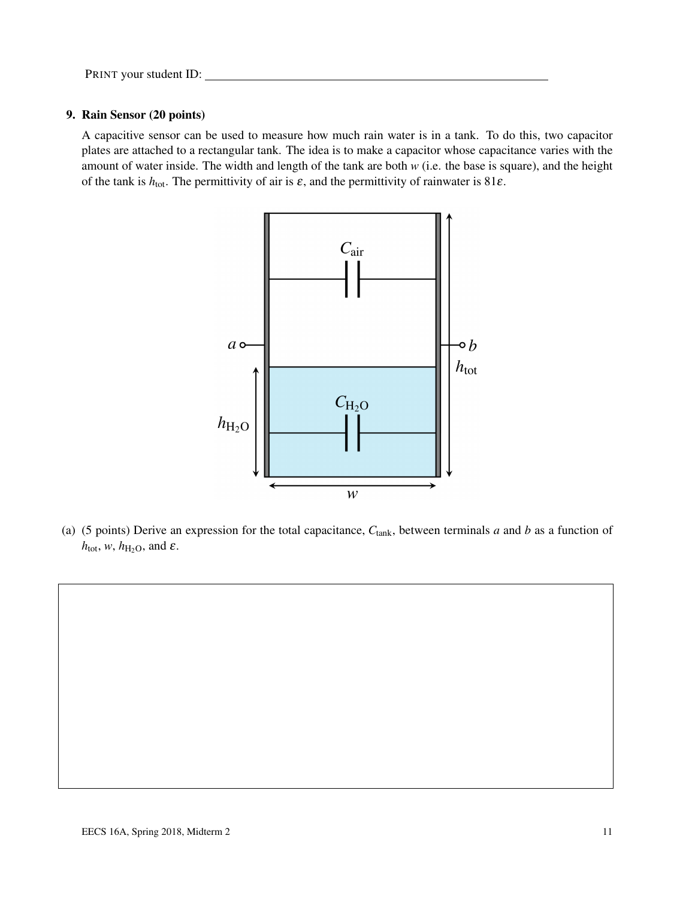#### 9. Rain Sensor (20 points)

A capacitive sensor can be used to measure how much rain water is in a tank. To do this, two capacitor plates are attached to a rectangular tank. The idea is to make a capacitor whose capacitance varies with the amount of water inside. The width and length of the tank are both *w* (i.e. the base is square), and the height of the tank is  $h_{\text{tot}}$ . The permittivity of air is  $\varepsilon$ , and the permittivity of rainwater is 81 $\varepsilon$ .



(a) (5 points) Derive an expression for the total capacitance, *C*tank, between terminals *a* and *b* as a function of  $h_{\text{tot}}$ , *w*,  $h_{\text{H}_2\text{O}}$ , and  $\varepsilon$ .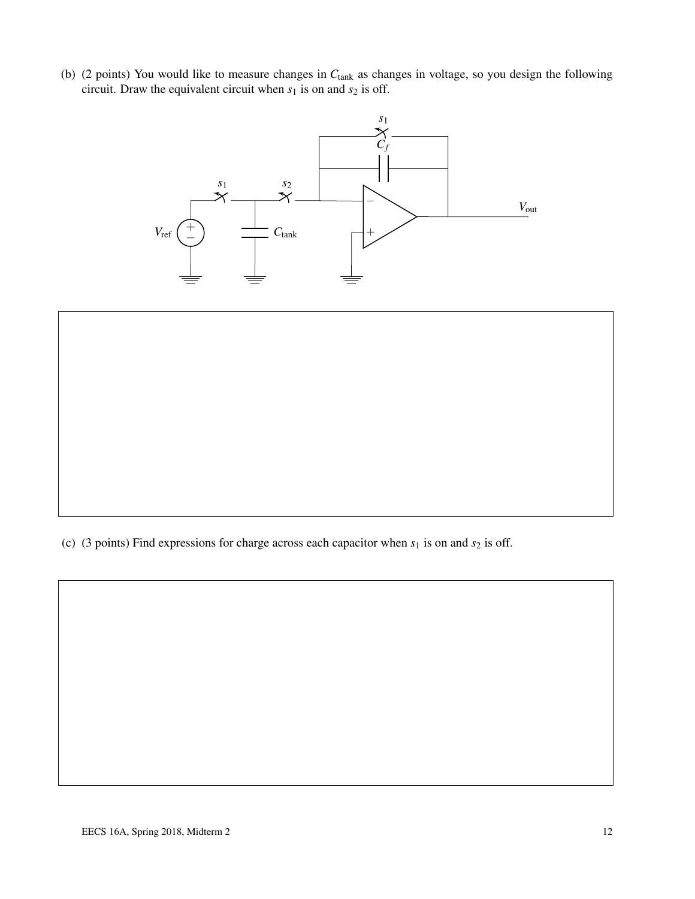(b) (2 points) You would like to measure changes in *C*tank as changes in voltage, so you design the following circuit. Draw the equivalent circuit when  $s_1$  is on and  $s_2$  is off.



(c) (3 points) Find expressions for charge across each capacitor when  $s_1$  is on and  $s_2$  is off.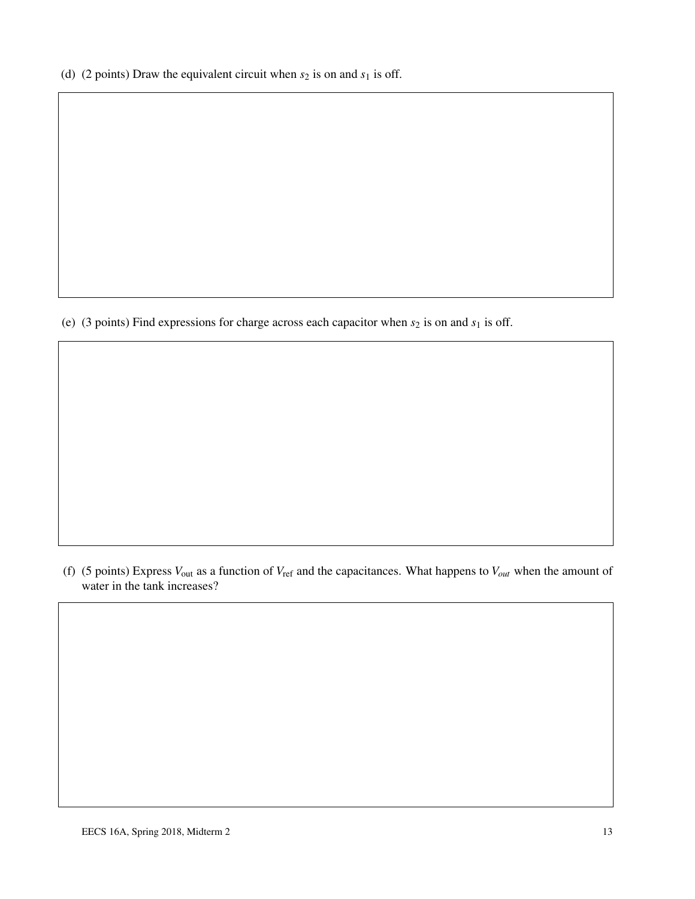(d) (2 points) Draw the equivalent circuit when  $s_2$  is on and  $s_1$  is off.

(e) (3 points) Find expressions for charge across each capacitor when  $s_2$  is on and  $s_1$  is off.

(f) (5 points) Express *V*out as a function of *V*ref and the capacitances. What happens to *Vout* when the amount of water in the tank increases?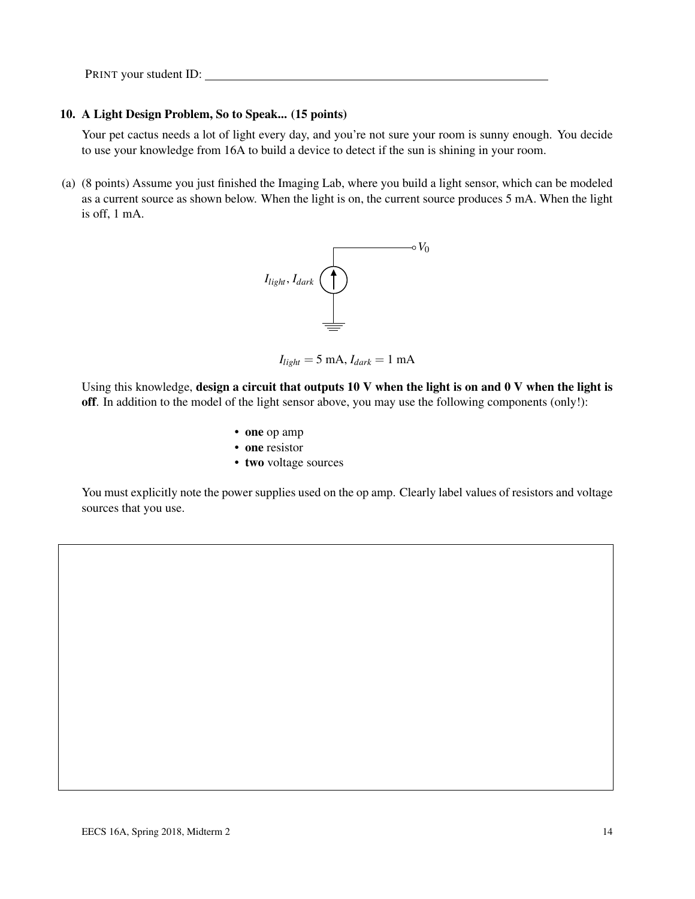#### 10. A Light Design Problem, So to Speak... (15 points)

Your pet cactus needs a lot of light every day, and you're not sure your room is sunny enough. You decide to use your knowledge from 16A to build a device to detect if the sun is shining in your room.

(a) (8 points) Assume you just finished the Imaging Lab, where you build a light sensor, which can be modeled as a current source as shown below. When the light is on, the current source produces 5 mA. When the light is off, 1 mA.



 $I_{light} = 5$  mA,  $I_{dark} = 1$  mA

Using this knowledge, design a circuit that outputs 10 V when the light is on and 0 V when the light is off. In addition to the model of the light sensor above, you may use the following components (only!):

- one op amp
- one resistor
- two voltage sources

You must explicitly note the power supplies used on the op amp. Clearly label values of resistors and voltage sources that you use.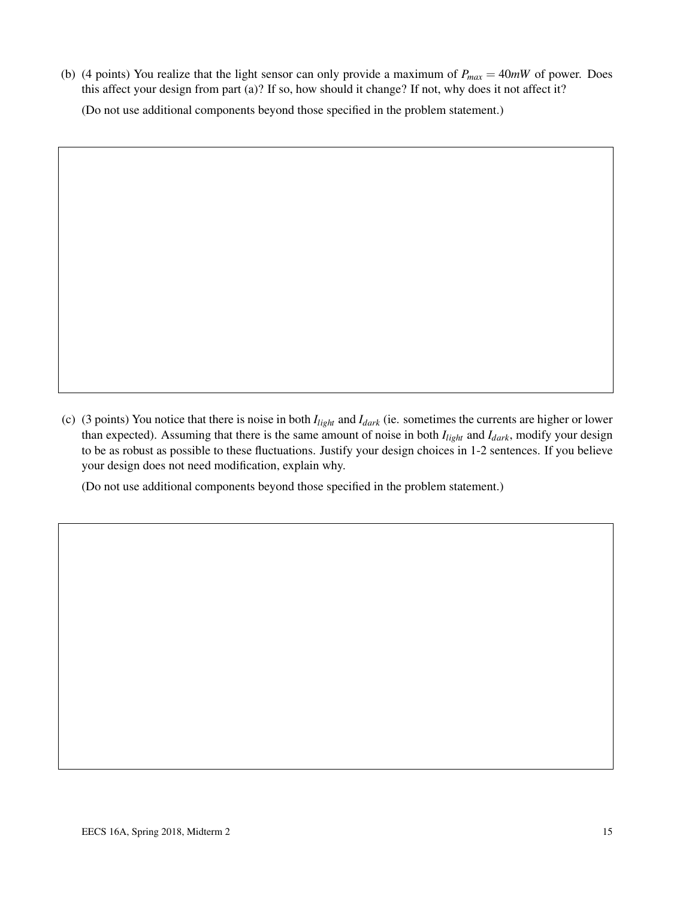(b) (4 points) You realize that the light sensor can only provide a maximum of  $P_{max} = 40mW$  of power. Does this affect your design from part (a)? If so, how should it change? If not, why does it not affect it? (Do not use additional components beyond those specified in the problem statement.)

(c) (3 points) You notice that there is noise in both *Ilight* and *Idark* (ie. sometimes the currents are higher or lower than expected). Assuming that there is the same amount of noise in both *Ilight* and *Idark*, modify your design to be as robust as possible to these fluctuations. Justify your design choices in 1-2 sentences. If you believe your design does not need modification, explain why.

(Do not use additional components beyond those specified in the problem statement.)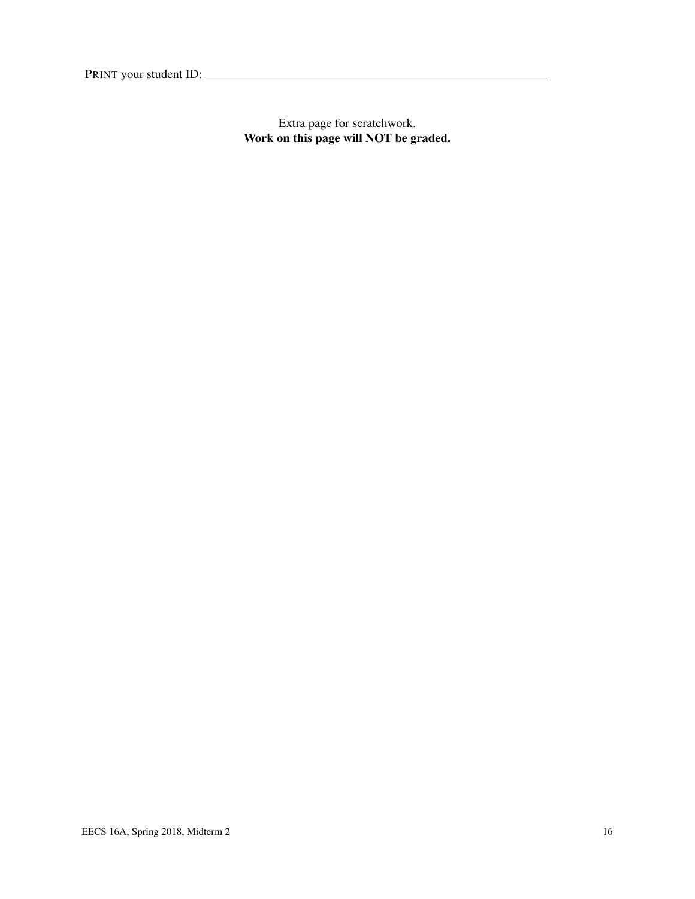Extra page for scratchwork. Work on this page will NOT be graded.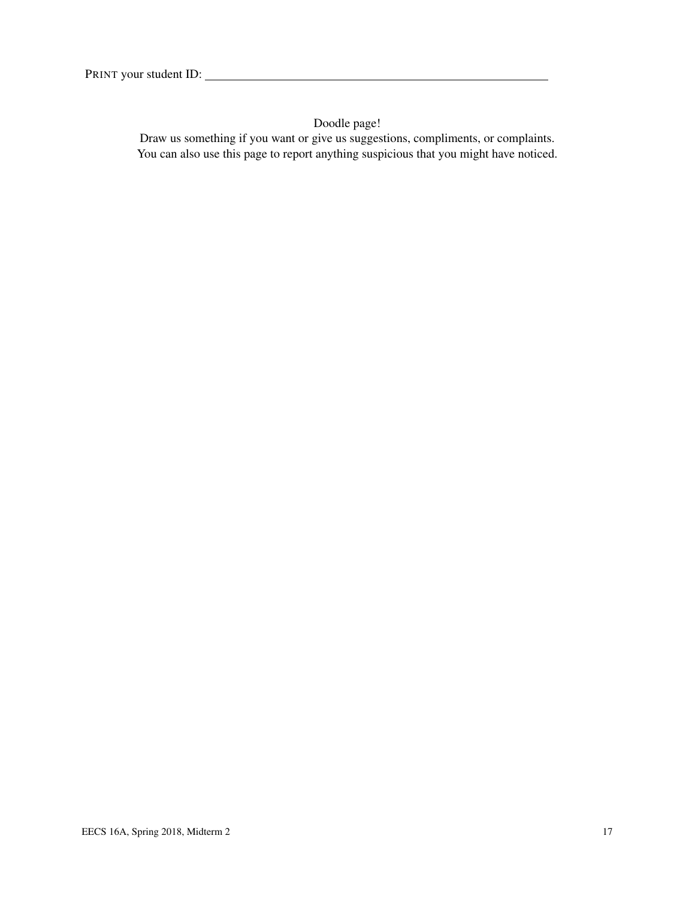Doodle page!

Draw us something if you want or give us suggestions, compliments, or complaints. You can also use this page to report anything suspicious that you might have noticed.